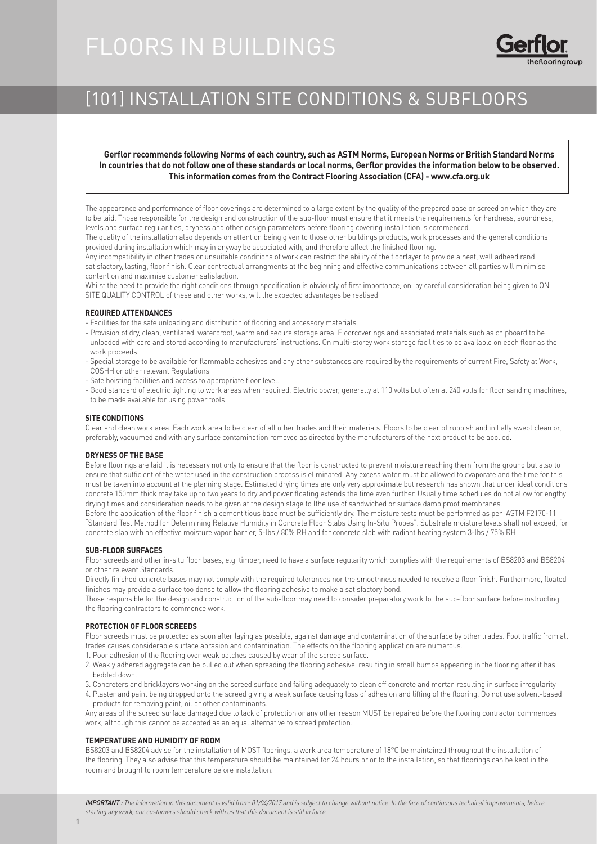# FLOORS IN BUILDINGS



# [101] INSTALLATION SITE CONDITIONS & SUBFLOORS

**Gerflor recommends following Norms of each country, such as ASTM Norms, European Norms or British Standard Norms In countries that do not follow one of these standards or local norms, Gerflor provides the information below to be observed. This information comes from the Contract Flooring Association (CFA) - www.cfa.org.uk**

The appearance and performance of floor coverings are determined to a large extent by the quality of the prepared base or screed on which they are to be laid. Those responsible for the design and construction of the sub-floor must ensure that it meets the requirements for hardness, soundness, levels and surface regularities, dryness and other design parameters before flooring covering installation is commenced.

The quality of the installation also depends on attention being given to those other buildings products, work processes and the general conditions provided during installation which may in anyway be associated with, and therefore affect the finished flooring.

Any incompatibility in other trades or unsuitable conditions of work can restrict the ability of the fioorlayer to provide a neat, well adheed rand satisfactory, lasting, floor finish. Clear contractual arrangments at the beginning and effective communications between all parties will minimise contention and maximise customer satisfaction.

Whilst the need to provide the right conditions through specification is obviously of first importance, onl by careful consideration being given to ON SITE QUALITY CONTROL of these and other works, will the expected advantages be realised.

# **REQUIRED ATTENDANCES**

- Facilities for the safe unloading and distribution of flooring and accessory materials.
- Provision of dry, clean, ventilated, waterproof, warm and secure storage area. Floorcoverings and associated materials such as chipboard to be unloaded with care and stored according to manufacturers' instructions. On multi-storey work storage facilities to be available on each floor as the work proceeds.
- Special storage to be available for flammable adhesives and any other substances are required by the requirements of current Fire, Safety at Work, COSHH or other relevant Regulations.
- Safe hoisting facilities and access to appropriate floor level.
- Good standard of electric lighting to work areas when required. Electric power, generally at 110 volts but often at 240 volts for floor sanding machines, to be made available for using power tools.

# **SITE CONDITIONS**

Clear and clean work area. Each work area to be clear of all other trades and their materials. Floors to be clear of rubbish and initially swept clean or, preferably, vacuumed and with any surface contamination removed as directed by the manufacturers of the next product to be applied.

### **DRYNESS OF THE BASE**

Before floorings are laid it is necessary not only to ensure that the floor is constructed to prevent moisture reaching them from the ground but also to ensure that sufficient of the water used in the construction process is eliminated. Any excess water must be allowed to evaporate and the time for this must be taken into account at the planning stage. Estimated drying times are only very approximate but research has shown that under ideal conditions concrete 150mm thick may take up to two years to dry and power floating extends the time even further. Usually time schedules do not allow for engthy drying times and consideration needs to be given at the design stage to lthe use of sandwiched or surface damp proof membranes.

Before the application of the floor finish a cementitious base must be sufficiently dry. The moisture tests must be performed as per ASTM F2170-11 "Standard Test Method for Determining Relative Humidity in Concrete Floor Slabs Using In-Situ Probes". Substrate moisture levels shall not exceed, for concrete slab with an effective moisture vapor barrier, 5-lbs / 80% RH and for concrete slab with radiant heating system 3-lbs / 75% RH.

# **SUB-FLOOR SURFACES**

Floor screeds and other in-situ floor bases, e.g. timber, need to have a surface regularity which complies with the requirements of BS8203 and BS8204 or other relevant Standards.

Directly finished concrete bases may not comply with the required tolerances nor the smoothness needed to receive a floor finish. Furthermore, floated finishes may provide a surface too dense to allow the flooring adhesive to make a satisfactory bond.

Those responsible for the design and construction of the sub-floor may need to consider preparatory work to the sub-floor surface before instructing the flooring contractors to commence work.

### **PROTECTION OF FLOOR SCREEDS**

Floor screeds must be protected as soon after laying as possible, against damage and contamination of the surface by other trades. Foot traffic from all trades causes considerable surface abrasion and contamination. The effects on the flooring application are numerous.

- 1. Poor adhesion of the flooring over weak patches caused by wear of the screed surface.
- 2. Weakly adhered aggregate can be pulled out when spreading the flooring adhesive, resulting in small bumps appearing in the flooring after it has bedded down.
- 3. Concreters and bricklayers working on the screed surface and failing adequately to clean off concrete and mortar, resulting in surface irregularity.
- 4. Plaster and paint being dropped onto the screed giving a weak surface causing loss of adhesion and lifting of the flooring. Do not use solvent-based products for removing paint, oil or other contaminants.

Any areas of the screed surface damaged due to lack of protection or any other reason MUST be repaired before the flooring contractor commences work, although this cannot be accepted as an equal alternative to screed protection.

## **TEMPERATURE AND HUMIDITY OF ROOM**

BS8203 and BS8204 advise for the installation of MOST floorings, a work area temperature of 18°C be maintained throughout the installation of the flooring. They also advise that this temperature should be maintained for 24 hours prior to the installation, so that floorings can be kept in the room and brought to room temperature before installation.

IMPORTANT : The information in this document is valid from: 01/04/2017 and is subject to change without notice. In the face of continuous technical improvements, before starting any work, our customers should check with us that this document is still in force.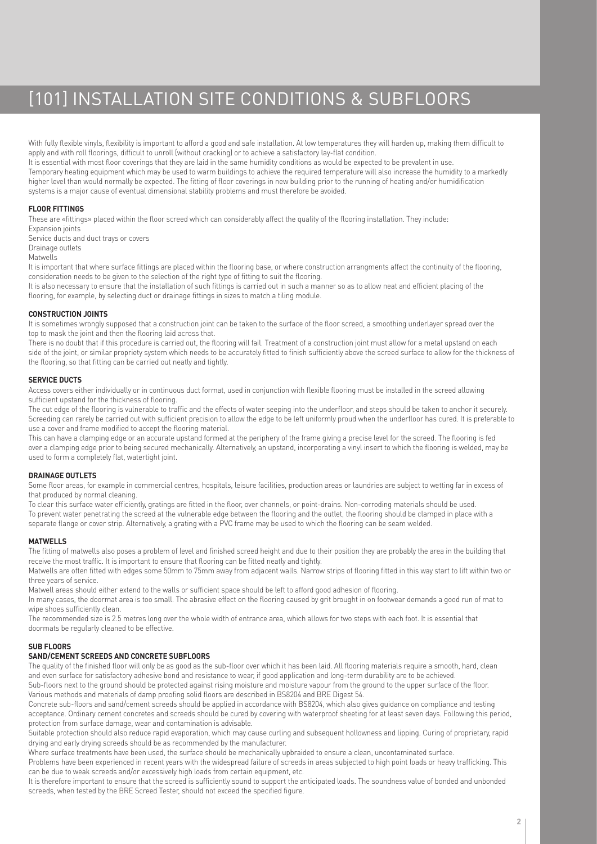# [101] INSTALLATION SITE CONDITIONS & SUBFLOORS

With fully flexible vinyls, flexibility is important to afford a good and safe installation. At low temperatures they will harden up, making them difficult to apply and with roll floorings, difficult to unroll (without cracking) or to achieve a satisfactory lay-flat condition. It is essential with most floor coverings that they are laid in the same humidity conditions as would be expected to be prevalent in use. Temporary heating equipment which may be used to warm buildings to achieve the required temperature will also increase the humidity to a markedly higher level than would normally be expected. The fitting of floor coverings in new building prior to the running of heating and/or humidification

systems is a major cause of eventual dimensional stability problems and must therefore be avoided.

# **FLOOR FITTINGS**

These are «fittings» placed within the floor screed which can considerably affect the quality of the flooring installation. They include:

Expansion joints Service ducts and duct trays or covers Drainage outlets

Matwells

It is important that where surface fittings are placed within the flooring base, or where construction arrangments affect the continuity of the flooring, consideration needs to be given to the selection of the right type of fitting to suit the flooring.

It is also necessary to ensure that the installation of such fittings is carried out in such a manner so as to allow neat and efficient placing of the flooring, for example, by selecting duct or drainage fittings in sizes to match a tiling module.

# **CONSTRUCTION JOINTS**

It is sometimes wrongly supposed that a construction joint can be taken to the surface of the floor screed, a smoothing underlayer spread over the top sometimes in mask the joint and then the flooring laid across that.

There is no doubt that if this procedure is carried out, the flooring will fail. Treatment of a construction joint must allow for a metal upstand on each side of the joint, or similar propriety system which needs to be accurately fitted to finish sufficiently above the screed surface to allow for the thickness of the flooring, so that fitting can be carried out neatly and tightly.

# **SERVICE DUCTS**

Access covers either individually or in continuous duct format, used in conjunction with flexible flooring must be installed in the screed allowing sufficient upstand for the thickness of flooring.

The cut edge of the flooring is vulnerable to traffic and the effects of water seeping into the underfloor, and steps should be taken to anchor it securely. Screeding can rarely be carried out with sufficient precision to allow the edge to be left uniformly proud when the underfloor has cured. It is preferable to use a cover and frame modified to accept the flooring material.

This can have a clamping edge or an accurate upstand formed at the periphery of the frame giving a precise level for the screed. The flooring is fed over a clamping edge prior to being secured mechanically. Alternatively, an upstand, incorporating a vinyl insert to which the flooring is welded, may be used to form a completely flat, watertight joint.

# **DRAINAGE OUTLETS**

Some floor areas, for example in commercial centres, hospitals, leisure facilities, production areas or laundries are subject to wetting far in excess of that produced by normal cleaning.

To clear this surface water efficiently, gratings are fitted in the floor, over channels, or point-drains. Non-corroding materials should be used. To prevent water penetrating the screed at the vulnerable edge between the flooring and the outlet, the flooring should be clamped in place with a separate flange or cover strip. Alternatively, a grating with a PVC frame may be used to which the flooring can be seam welded.

### **MATWELLS**

The fitting of matwells also poses a problem of level and finished screed height and due to their position they are probably the area in the building that receive the most traffic. It is important to ensure that flooring can be fitted neatly and tightly.

Matwells are often fitted with edges some 50mm to 75mm away from adjacent walls. Narrow strips of flooring fitted in this way start to lift within two or three years of service.

Matwell areas should either extend to the walls or sufficient space should be left to afford good adhesion of flooring.

In many cases, the doormat area is too small. The abrasive effect on the flooring caused by grit brought in on footwear demands a good run of mat to wipe shoes sufficiently clean.

The recommended size is 2.5 metres long over the whole width of entrance area, which allows for two steps with each foot. It is essential that doormats be regularly cleaned to be effective.

# **SUB FLOORS**

# **SAND/CEMENT SCREEDS AND CONCRETE SUBFLOORS**

The quality of the finished floor will only be as good as the sub-floor over which it has been laid. All flooring materials require a smooth, hard, clean and even surface for satisfactory adhesive bond and resistance to wear, if good application and long-term durability are to be achieved. Sub-floors next to the ground should be protected against rising moisture and moisture vapour from the ground to the upper surface of the floor.

Various methods and materials of damp proofing solid floors are described in BS8204 and BRE Digest 54. Concrete sub-floors and sand/cement screeds should be applied in accordance with BS8204, which also gives guidance on compliance and testing acceptance. Ordinary cement concretes and screeds should be cured by covering with waterproof sheeting for at least seven days. Following this period, protection from surface damage, wear and contamination is advisable.

Suitable protection should also reduce rapid evaporation, which may cause curling and subsequent hollowness and lipping. Curing of proprietary, rapid drying and early drying screeds should be as recommended by the manufacturer.

Where surface treatments have been used, the surface should be mechanically upbraided to ensure a clean, uncontaminated surface.

Problems have been experienced in recent years with the widespread failure of screeds in areas subjected to high point loads or heavy trafficking. This can be due to weak screeds and/or excessively high loads from certain equipment, etc.

It is therefore important to ensure that the screed is sufficiently sound to support the anticipated loads. The soundness value of bonded and unbonded screeds, when tested by the BRE Screed Tester, should not exceed the specified figure.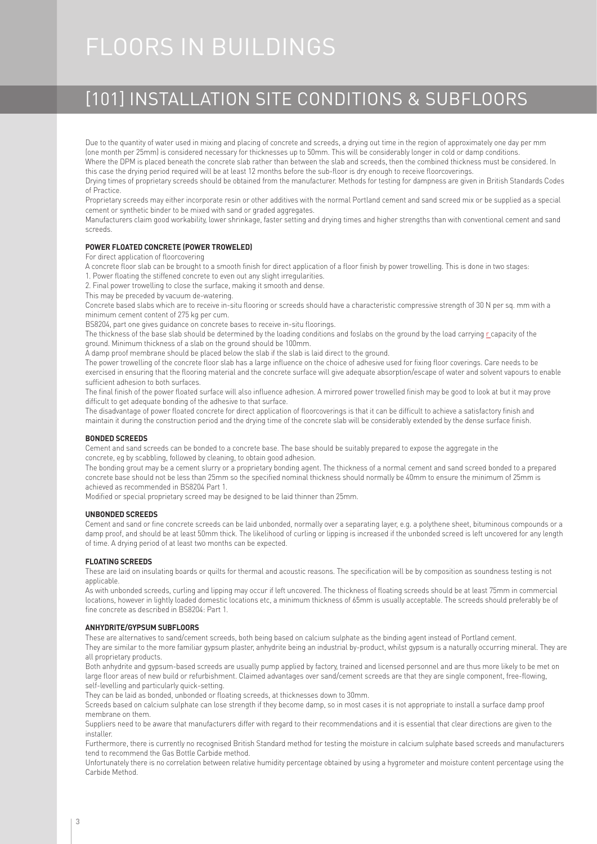# FLOORS IN BUILDINGS

# [101] INSTALLATION SITE CONDITIONS & SUBFLOORS

Due to the quantity of water used in mixing and placing of concrete and screeds, a drying out time in the region of approximately one day per mm (one month per 25mm) is considered necessary for thicknesses up to 50mm. This will be considerably longer in cold or damp conditions. Where the DPM is placed beneath the concrete slab rather than between the slab and screeds, then the combined thickness must be considered. In

this case the drying period required will be at least 12 months before the sub-floor is dry enough to receive floorcoverings.

Drying times of proprietary screeds should be obtained from the manufacturer. Methods for testing for dampness are given in British Standards Codes of Practice.

Proprietary screeds may either incorporate resin or other additives with the normal Portland cement and sand screed mix or be supplied as a special cement or synthetic binder to be mixed with sand or graded aggregates.

Manufacturers claim good workability, lower shrinkage, faster setting and drying times and higher strengths than with conventional cement and sand screeds.

# **POWER FLOATED CONCRETE (POWER TROWELED)**

For direct application of floorcovering

A concrete floor slab can be brought to a smooth finish for direct application of a floor finish by power trowelling. This is done in two stages: 1. Power floating the stiffened concrete to even out any slight irregularities.

2. Final power trowelling to close the surface, making it smooth and dense.

This may be preceded by vacuum de-watering.

Concrete based slabs which are to receive in-situ flooring or screeds should have a characteristic compressive strength of 30 N per sq. mm with a minimum cement content of 275 kg per cum.

BS8204, part one gives guidance on concrete bases to receive in-situ floorings.

The thickness of the base slab should be determined by the loading conditions and foslabs on the ground by the load carrying r capacity of the ground. Minimum thickness of a slab on the ground should be 100mm.

A damp proof membrane should be placed below the slab if the slab is laid direct to the ground.

The power trowelling of the concrete floor slab has a large influence on the choice of adhesive used for fixing floor coverings. Care needs to be exercised in ensuring that the flooring material and the concrete surface will give adequate absorption/escape of water and solvent vapours to enable sufficient adhesion to both surfaces.

The final finish of the power floated surface will also influence adhesion. A mirrored power trowelled finish may be good to look at but it may prove difficult to get adequate bonding of the adhesive to that surface.

The disadvantage of power floated concrete for direct application of floorcoverings is that it can be difficult to achieve a satisfactory finish and maintain it during the construction period and the drying time of the concrete slab will be considerably extended by the dense surface finish.

### **BONDED SCREEDS**

Cement and sand screeds can be bonded to a concrete base. The base should be suitably prepared to expose the aggregate in the concrete, eg by scabbling, followed by cleaning, to obtain good adhesion.

The bonding grout may be a cement slurry or a proprietary bonding agent. The thickness of a normal cement and sand screed bonded to a prepared concrete base should not be less than 25mm so the specified nominal thickness should normally be 40mm to ensure the minimum of 25mm is achieved as recommended in BS8204 Part 1.

Modified or special proprietary screed may be designed to be laid thinner than 25mm.

### **UNBONDED SCREEDS**

Cement and sand or fine concrete screeds can be laid unbonded, normally over a separating layer, e.g. a polythene sheet, bituminous compounds or a damp proof, and should be at least 50mm thick. The likelihood of curling or lipping is increased if the unbonded screed is left uncovered for any length of time. A drying period of at least two months can be expected.

### **FLOATING SCREEDS**

These are laid on insulating boards or quilts for thermal and acoustic reasons. The specification will be by composition as soundness testing is not applicable.

As with unbonded screeds, curling and lipping may occur if left uncovered. The thickness of floating screeds should be at least 75mm in commercial locations, however in lightly loaded domestic locations etc, a minimum thickness of 65mm is usually acceptable. The screeds should preferably be of fine concrete as described in BS8204: Part 1.

# **ANHYDRITE/GYPSUM SUBFLOORS**

These are alternatives to sand/cement screeds, both being based on calcium sulphate as the binding agent instead of Portland cement.

They are similar to the more familiar gypsum plaster, anhydrite being an industrial by-product, whilst gypsum is a naturally occurring mineral. They are all proprietary products.

Both anhydrite and gypsum-based screeds are usually pump applied by factory, trained and licensed personnel and are thus more likely to be met on large floor areas of new build or refurbishment. Claimed advantages over sand/cement screeds are that they are single component, free-flowing, self-levelling and particularly quick-setting.

They can be laid as bonded, unbonded or floating screeds, at thicknesses down to 30mm.

Screeds based on calcium sulphate can lose strength if they become damp, so in most cases it is not appropriate to install a surface damp proof membrane on them.

Suppliers need to be aware that manufacturers differ with regard to their recommendations and it is essential that clear directions are given to the installer.

Furthermore, there is currently no recognised British Standard method for testing the moisture in calcium sulphate based screeds and manufacturers tend to recommend the Gas Bottle Carbide method.

Unfortunately there is no correlation between relative humidity percentage obtained by using a hygrometer and moisture content percentage using the Carbide Method.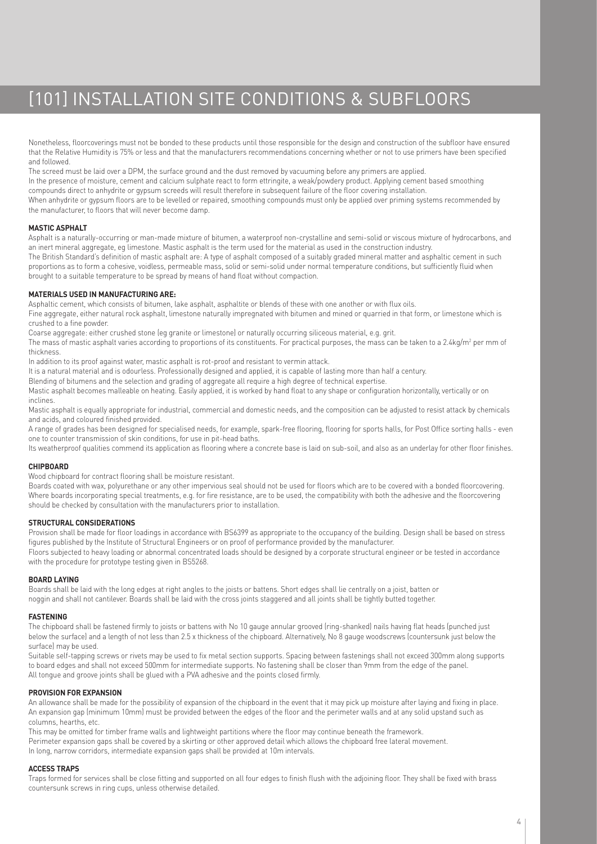# [101] INSTALLATION SITE CONDITIONS & SUBFLOORS

Nonetheless, floorcoverings must not be bonded to these products until those responsible for the design and construction of the subfloor have ensured that the Relative Humidity is 75% or less and that the manufacturers recommendations concerning whether or not to use primers have been specified and followed.

The screed must be laid over a DPM, the surface ground and the dust removed by vacuuming before any primers are applied. In the presence of moisture, cement and calcium sulphate react to form ettringite, a weak/powdery product. Applying cement based smoothing compounds direct to anhydrite or gypsum screeds will result therefore in subsequent failure of the floor covering installation. When anhydrite or gypsum floors are to be levelled or repaired, smoothing compounds must only be applied over priming systems recommended by the manufacturer, to floors that will never become damp.

# **MASTIC ASPHALT**

Asphalt is a naturally-occurring or man-made mixture of bitumen, a waterproof non-crystalline and semi-solid or viscous mixture of hydrocarbons, and an inert mineral aggregate, eg limestone. Mastic asphalt is the term used for the material as used in the construction industry. The British Standard's definition of mastic asphalt are: A type of asphalt composed of a suitably graded mineral matter and asphaltic cement in such proportions as to form a cohesive, voidless, permeable mass, solid or semi-solid under normal temperature conditions, but sufficiently fluid when brought to a suitable temperature to be spread by means of hand float without compaction.

# **MATERIALS USED IN MANUFACTURING ARE:**

Asphaltic cement, which consists of bitumen, lake asphalt, asphaltite or blends of these with one another or with flux oils.

Fine aggregate, either natural rock asphalt, limestone naturally impregnated with bitumen and mined or quarried in that form, or limestone which is crushed to a fine powder.

Coarse aggregate: either crushed stone (eg granite or limestone) or naturally occurring siliceous material, e.g. grit.

The mass of mastic asphalt varies according to proportions of its constituents. For practical purposes, the mass can be taken to a 2.4kg/m² per mm of thickness.

In addition to its proof against water, mastic asphalt is rot-proof and resistant to vermin attack.

It is a natural material and is odourless. Professionally designed and applied, it is capable of lasting more than half a century.

Blending of bitumens and the selection and grading of aggregate all require a high degree of technical expertise.

Mastic asphalt becomes malleable on heating. Easily applied, it is worked by hand float to any shape or configuration horizontally, vertically or on inclines.

Mastic asphalt is equally appropriate for industrial, commercial and domestic needs, and the composition can be adjusted to resist attack by chemicals and acids, and coloured finished provided.

A range of grades has been designed for specialised needs, for example, spark-free flooring, flooring for sports halls, for Post Office sorting halls - even one to counter transmission of skin conditions, for use in pit-head baths.

Its weatherproof qualities commend its application as flooring where a concrete base is laid on sub-soil, and also as an underlay for other floor finishes.

## **CHIPBOARD**

Wood chipboard for contract flooring shall be moisture resistant.

Boards coated with wax, polyurethane or any other impervious seal should not be used for floors which are to be covered with a bonded floorcovering. Where boards incorporating special treatments, e.g. for fire resistance, are to be used, the compatibility with both the adhesive and the floorcovering should be checked by consultation with the manufacturers prior to installation.

### **STRUCTURAL CONSIDERATIONS**

Provision shall be made for floor loadings in accordance with BS6399 as appropriate to the occupancy of the building. Design shall be based on stress figures published by the Institute of Structural Engineers or on proof of performance provided by the manufacturer. Floors subjected to heavy loading or abnormal concentrated loads should be designed by a corporate structural engineer or be tested in accordance with the procedure for prototype testing given in BS5268.

### **BOARD LAYING**

Boards shall be laid with the long edges at right angles to the joists or battens. Short edges shall lie centrally on a joist, batten or noggin and shall not cantilever. Boards shall be laid with the cross joints staggered and all joints shall be tightly butted together.

### **FASTENING**

The chipboard shall be fastened firmly to joists or battens with No 10 gauge annular grooved (ring-shanked) nails having flat heads (punched just below the surface) and a length of not less than 2.5 x thickness of the chipboard. Alternatively, No 8 gauge woodscrews (countersunk just below the surface) may be used.

Suitable self-tapping screws or rivets may be used to fix metal section supports. Spacing between fastenings shall not exceed 300mm along supports to board edges and shall not exceed 500mm for intermediate supports. No fastening shall be closer than 9mm from the edge of the panel. All tongue and groove joints shall be glued with a PVA adhesive and the points closed firmly.

### **PROVISION FOR EXPANSION**

An allowance shall be made for the possibility of expansion of the chipboard in the event that it may pick up moisture after laying and fixing in place. An expansion gap (minimum 10mm) must be provided between the edges of the floor and the perimeter walls and at any solid upstand such as columns, hearths, etc.

This may be omitted for timber frame walls and lightweight partitions where the floor may continue beneath the framework. Perimeter expansion gaps shall be covered by a skirting or other approved detail which allows the chipboard free lateral movement. In long, narrow corridors, intermediate expansion gaps shall be provided at 10m intervals.

# **ACCESS TRAPS**

Traps formed for services shall be close fitting and supported on all four edges to finish flush with the adjoining floor. They shall be fixed with brass countersunk screws in ring cups, unless otherwise detailed.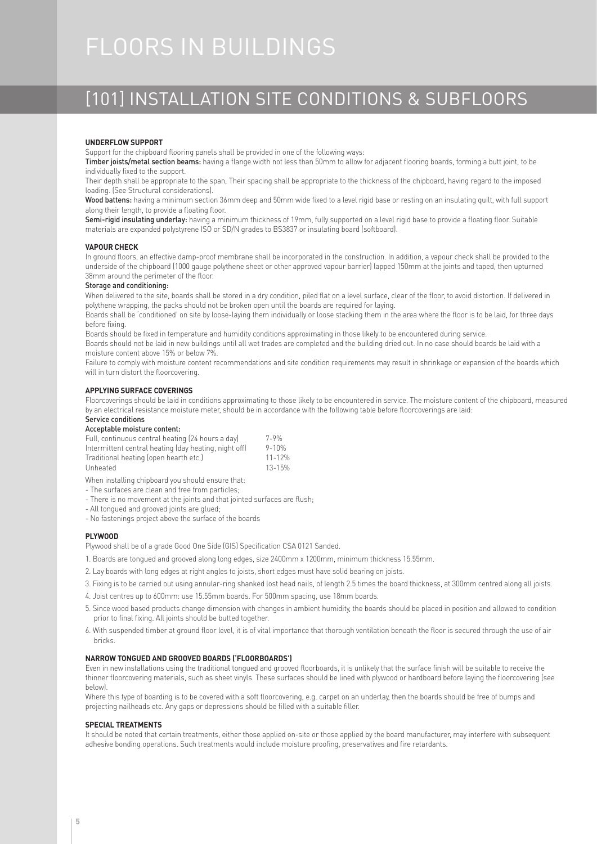# FLOORS IN BUILDINGS

# [101] INSTALLATION SITE CONDITIONS & SUBFLOORS

### **UNDERFLOW SUPPORT**

Support for the chipboard flooring panels shall be provided in one of the following ways:

Timber joists/metal section beams: having a flange width not less than 50mm to allow for adjacent flooring boards, forming a butt joint, to be individually fixed to the support.

Their depth shall be appropriate to the span, Their spacing shall be appropriate to the thickness of the chipboard, having regard to the imposed loading. (See Structural considerations).

Wood battens: having a minimum section 36mm deep and 50mm wide fixed to a level rigid base or resting on an insulating quilt, with full support along their length, to provide a floating floor.

Semi-rigid insulating underlay: having a minimum thickness of 19mm, fully supported on a level rigid base to provide a floating floor. Suitable materials are expanded polystyrene ISO or SD/N grades to BS3837 or insulating board (softboard).

#### **VAPOUR CHECK**

In ground floors, an effective damp-proof membrane shall be incorporated in the construction. In addition, a vapour check shall be provided to the underside of the chipboard (1000 gauge polythene sheet or other approved vapour barrier) lapped 150mm at the joints and taped, then upturned 38mm around the perimeter of the floor.

#### Storage and conditioning:

When delivered to the site, boards shall be stored in a dry condition, piled flat on a level surface, clear of the floor, to avoid distortion. If delivered in polythene wrapping, the packs should not be broken open until the boards are required for laying.

Boards shall be 'conditioned' on site by loose-laying them individually or loose stacking them in the area where the floor is to be laid, for three days before fixing.

Boards should be fixed in temperature and humidity conditions approximating in those likely to be encountered during service.

Boards should not be laid in new buildings until all wet trades are completed and the building dried out. In no case should boards be laid with a moisture content above 15% or below 7%.

Failure to comply with moisture content recommendations and site condition requirements may result in shrinkage or expansion of the boards which will in turn distort the floorcovering.

## **APPLYING SURFACE COVERINGS**

Floorcoverings should be laid in conditions approximating to those likely to be encountered in service. The moisture content of the chipboard, measured by an electrical resistance moisture meter, should be in accordance with the following table before floorcoverings are laid:

# Service conditions

Acceptable moisture content:

| Full, continuous central heating (24 hours a day)     | 7-9%       |
|-------------------------------------------------------|------------|
| Intermittent central heating (day heating, night off) | $9 - 10%$  |
| Traditional heating (open hearth etc.)                | $11 - 12%$ |
| Unheated                                              | 13-15%     |
|                                                       |            |

When installing chipboard you should ensure that:

- The surfaces are clean and free from particles; - There is no movement at the joints and that jointed surfaces are flush;
- All tongued and grooved joints are glued;
- No fastenings project above the surface of the boards

### **PLYWOOD**

Plywood shall be of a grade Good One Side (GIS) Specification CSA 0121 Sanded.

- 1. Boards are tongued and grooved along long edges, size 2400mm x 1200mm, minimum thickness 15.55mm.
- 2. Lay boards with long edges at right angles to joists, short edges must have solid bearing on joists.
- 3. Fixing is to be carried out using annular-ring shanked lost head nails, of length 2.5 times the board thickness, at 300mm centred along all joists.
- 4. Joist centres up to 600mm: use 15.55mm boards. For 500mm spacing, use 18mm boards.
- 5. Since wood based products change dimension with changes in ambient humidity, the boards should be placed in position and allowed to condition prior to final fixing. All joints should be butted together.
- 6. With suspended timber at ground floor level, it is of vital importance that thorough ventilation beneath the floor is secured through the use of air bricks.

## **NARROW TONGUED AND GROOVED BOARDS ('FLOORBOARDS')**

Even in new installations using the traditional tongued and grooved floorboards, it is unlikely that the surface finish will be suitable to receive the thinner floorcovering materials, such as sheet vinyls. These surfaces should be lined with plywood or hardboard before laying the floorcovering (see below).

Where this type of boarding is to be covered with a soft floorcovering, e.g. carpet on an underlay, then the boards should be free of bumps and projecting nailheads etc. Any gaps or depressions should be filled with a suitable filler.

# **SPECIAL TREATMENTS**

It should be noted that certain treatments, either those applied on-site or those applied by the board manufacturer, may interfere with subsequent adhesive bonding operations. Such treatments would include moisture proofing, preservatives and fire retardants.